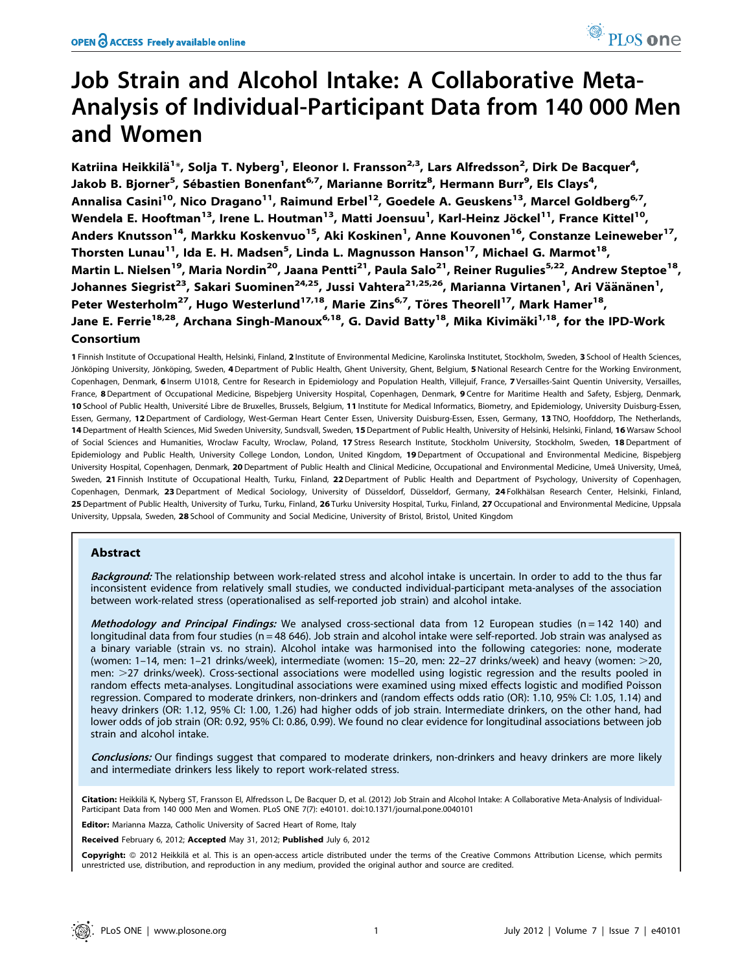# Job Strain and Alcohol Intake: A Collaborative Meta-Analysis of Individual-Participant Data from 140 000 Men and Women

Katriina Heikkilä<sup>1</sup>\*, Solja T. Nyberg<sup>1</sup>, Eleonor I. Fransson<sup>2,3</sup>, Lars Alfredsson<sup>2</sup>, Dirk De Bacquer<sup>4</sup>, Jakob B. Bjorner<sup>5</sup>, Sébastien Bonenfant<sup>6,7</sup>, Marianne Borritz<sup>8</sup>, Hermann Burr<sup>9</sup>, Els Clays<sup>4</sup>, Annalisa Casini<sup>10</sup>, Nico Dragano<sup>11</sup>, Raimund Erbel<sup>12</sup>, Goedele A. Geuskens<sup>13</sup>, Marcel Goldberg<sup>6,7</sup>, Wendela E. Hooftman<sup>13</sup>, Irene L. Houtman<sup>13</sup>, Matti Joensuu<sup>1</sup>, Karl-Heinz Jöckel<sup>11</sup>, France Kittel<sup>10</sup>, Anders Knutsson<sup>14</sup>, Markku Koskenvuo<sup>15</sup>, Aki Koskinen<sup>1</sup>, Anne Kouvonen<sup>16</sup>, Constanze Leineweber<sup>17</sup>, Thorsten Lunau<sup>11</sup>, Ida E. H. Madsen<sup>5</sup>, Linda L. Magnusson Hanson<sup>17</sup>, Michael G. Marmot<sup>18</sup>, Martin L. Nielsen<sup>19</sup>, Maria Nordin<sup>20</sup>, Jaana Pentti<sup>21</sup>, Paula Salo<sup>21</sup>, Reiner Rugulies<sup>5,22</sup>, Andrew Steptoe<sup>18</sup>, Johannes Siegrist<sup>23</sup>, Sakari Suominen<sup>24,25</sup>, Jussi Vahtera<sup>21,25,26</sup>, Marianna Virtanen<sup>1</sup>, Ari Väänänen<sup>1</sup>, Peter Westerholm<sup>27</sup>, Hugo Westerlund<sup>17,18</sup>, Marie Zins<sup>6,7</sup>, Töres Theorell<sup>17</sup>, Mark Hamer<sup>18</sup>, Jane E. Ferrie<sup>18,28</sup>, Archana Singh-Manoux<sup>6,18</sup>, G. David Batty<sup>18</sup>, Mika Kivimäki<sup>1,18</sup>, for the IPD-Work Consortium

1 Finnish Institute of Occupational Health, Helsinki, Finland, 2 Institute of Environmental Medicine, Karolinska Institutet, Stockholm, Sweden, 3 School of Health Sciences, Jönköping University, Jönköping, Sweden, 4 Department of Public Health, Ghent University, Ghent, Belgium, 5 National Research Centre for the Working Environment, Copenhagen, Denmark, 6 Inserm U1018, Centre for Research in Epidemiology and Population Health, Villejuif, France, 7 Versailles-Saint Quentin University, Versailles, France, 8 Department of Occupational Medicine, Bispebjerg University Hospital, Copenhagen, Denmark, 9 Centre for Maritime Health and Safety, Esbjerg, Denmark, 10 School of Public Health, Université Libre de Bruxelles, Brussels, Belgium, 11 Institute for Medical Informatics, Biometry, and Epidemiology, University Duisburg-Essen, Essen, Germany, 12 Department of Cardiology, West-German Heart Center Essen, University Duisburg-Essen, Essen, Germany, 13 TNO, Hoofddorp, The Netherlands, 14 Department of Health Sciences, Mid Sweden University, Sundsvall, Sweden, 15 Department of Public Health, University of Helsinki, Helsinki, Finland, 16 Warsaw School of Social Sciences and Humanities, Wroclaw Faculty, Wroclaw, Poland, 17 Stress Research Institute, Stockholm University, Stockholm, Sweden, 18 Department of Epidemiology and Public Health, University College London, London, United Kingdom, 19 Department of Occupational and Environmental Medicine, Bispebjerg University Hospital, Copenhagen, Denmark, 20 Department of Public Health and Clinical Medicine, Occupational and Environmental Medicine, Umeå University, Umeå, Sweden, 21 Finnish Institute of Occupational Health, Turku, Finland, 22 Department of Public Health and Department of Psychology, University of Copenhagen, Copenhagen, Denmark, 23 Department of Medical Sociology, University of Düsseldorf, Düsseldorf, Germany, 24 Folkhälsan Research Center, Helsinki, Finland, 25 Department of Public Health, University of Turku, Turku, Finland, 26 Turku University Hospital, Turku, Finland, 27 Occupational and Environmental Medicine, Uppsala University, Uppsala, Sweden, 28 School of Community and Social Medicine, University of Bristol, Bristol, United Kingdom

# Abstract

Background: The relationship between work-related stress and alcohol intake is uncertain. In order to add to the thus far inconsistent evidence from relatively small studies, we conducted individual-participant meta-analyses of the association between work-related stress (operationalised as self-reported job strain) and alcohol intake.

Methodology and Principal Findings: We analysed cross-sectional data from 12 European studies (n = 142 140) and longitudinal data from four studies (n = 48 646). Job strain and alcohol intake were self-reported. Job strain was analysed as a binary variable (strain vs. no strain). Alcohol intake was harmonised into the following categories: none, moderate (women: 1–14, men: 1–21 drinks/week), intermediate (women: 15–20, men: 22–27 drinks/week) and heavy (women:  $>$ 20, men:  $>$ 27 drinks/week). Cross-sectional associations were modelled using logistic regression and the results pooled in random effects meta-analyses. Longitudinal associations were examined using mixed effects logistic and modified Poisson regression. Compared to moderate drinkers, non-drinkers and (random effects odds ratio (OR): 1.10, 95% CI: 1.05, 1.14) and heavy drinkers (OR: 1.12, 95% CI: 1.00, 1.26) had higher odds of job strain. Intermediate drinkers, on the other hand, had lower odds of job strain (OR: 0.92, 95% CI: 0.86, 0.99). We found no clear evidence for longitudinal associations between job strain and alcohol intake.

Conclusions: Our findings suggest that compared to moderate drinkers, non-drinkers and heavy drinkers are more likely and intermediate drinkers less likely to report work-related stress.

Citation: Heikkilä K, Nyberg ST, Fransson El, Alfredsson L, De Bacquer D, et al. (2012) Job Strain and Alcohol Intake: A Collaborative Meta-Analysis of Individual-Participant Data from 140 000 Men and Women. PLoS ONE 7(7): e40101. doi:10.1371/journal.pone.0040101

Editor: Marianna Mazza, Catholic University of Sacred Heart of Rome, Italy

Received February 6, 2012; Accepted May 31, 2012; Published July 6, 2012

Copyright: © 2012 Heikkilä et al. This is an open-access article distributed under the terms of the Creative Commons Attribution License, which permits unrestricted use, distribution, and reproduction in any medium, provided the original author and source are credited.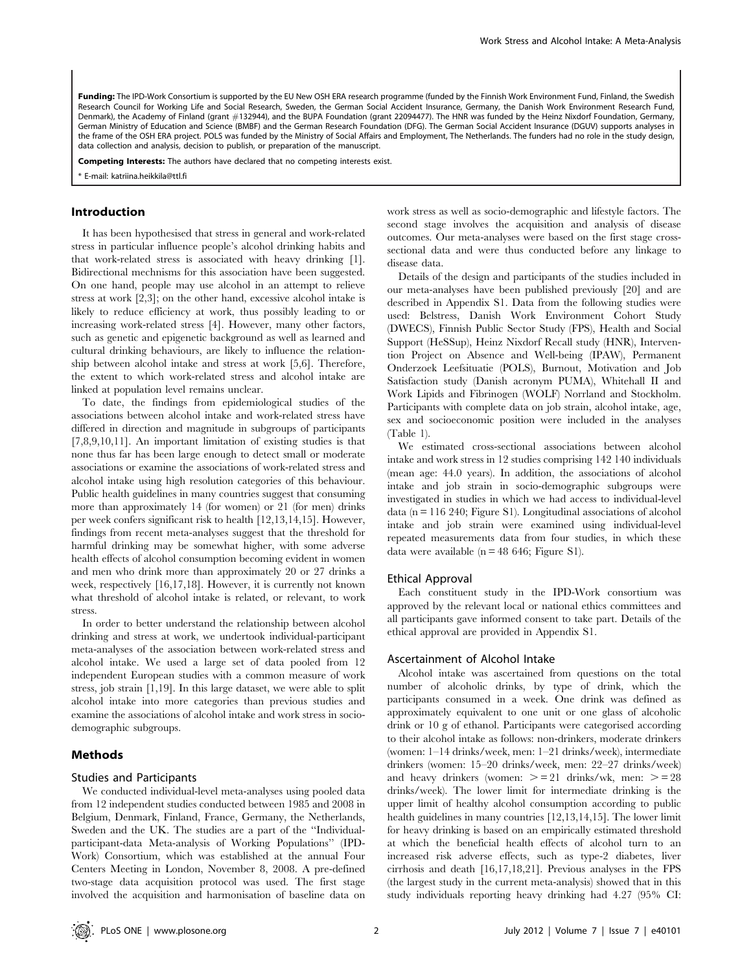Funding: The IPD-Work Consortium is supported by the EU New OSH ERA research programme (funded by the Finnish Work Environment Fund, Finland, the Swedish Research Council for Working Life and Social Research, Sweden, the German Social Accident Insurance, Germany, the Danish Work Environment Research Fund, Denmark), the Academy of Finland (grant #132944), and the BUPA Foundation (grant 22094477). The HNR was funded by the Heinz Nixdorf Foundation, Germany, German Ministry of Education and Science (BMBF) and the German Research Foundation (DFG). The German Social Accident Insurance (DGUV) supports analyses in the frame of the OSH ERA project. POLS was funded by the Ministry of Social Affairs and Employment, The Netherlands. The funders had no role in the study design, data collection and analysis, decision to publish, or preparation of the manuscript.

Competing Interests: The authors have declared that no competing interests exist.

\* E-mail: katriina.heikkila@ttl.fi

# Introduction

It has been hypothesised that stress in general and work-related stress in particular influence people's alcohol drinking habits and that work-related stress is associated with heavy drinking [1]. Bidirectional mechnisms for this association have been suggested. On one hand, people may use alcohol in an attempt to relieve stress at work [2,3]; on the other hand, excessive alcohol intake is likely to reduce efficiency at work, thus possibly leading to or increasing work-related stress [4]. However, many other factors, such as genetic and epigenetic background as well as learned and cultural drinking behaviours, are likely to influence the relationship between alcohol intake and stress at work [5,6]. Therefore, the extent to which work-related stress and alcohol intake are linked at population level remains unclear.

To date, the findings from epidemiological studies of the associations between alcohol intake and work-related stress have differed in direction and magnitude in subgroups of participants [7,8,9,10,11]. An important limitation of existing studies is that none thus far has been large enough to detect small or moderate associations or examine the associations of work-related stress and alcohol intake using high resolution categories of this behaviour. Public health guidelines in many countries suggest that consuming more than approximately 14 (for women) or 21 (for men) drinks per week confers significant risk to health [12,13,14,15]. However, findings from recent meta-analyses suggest that the threshold for harmful drinking may be somewhat higher, with some adverse health effects of alcohol consumption becoming evident in women and men who drink more than approximately 20 or 27 drinks a week, respectively [16,17,18]. However, it is currently not known what threshold of alcohol intake is related, or relevant, to work stress.

In order to better understand the relationship between alcohol drinking and stress at work, we undertook individual-participant meta-analyses of the association between work-related stress and alcohol intake. We used a large set of data pooled from 12 independent European studies with a common measure of work stress, job strain [1,19]. In this large dataset, we were able to split alcohol intake into more categories than previous studies and examine the associations of alcohol intake and work stress in sociodemographic subgroups.

# Methods

# Studies and Participants

We conducted individual-level meta-analyses using pooled data from 12 independent studies conducted between 1985 and 2008 in Belgium, Denmark, Finland, France, Germany, the Netherlands, Sweden and the UK. The studies are a part of the ''Individualparticipant-data Meta-analysis of Working Populations'' (IPD-Work) Consortium, which was established at the annual Four Centers Meeting in London, November 8, 2008. A pre-defined two-stage data acquisition protocol was used. The first stage involved the acquisition and harmonisation of baseline data on work stress as well as socio-demographic and lifestyle factors. The second stage involves the acquisition and analysis of disease outcomes. Our meta-analyses were based on the first stage crosssectional data and were thus conducted before any linkage to disease data.

Details of the design and participants of the studies included in our meta-analyses have been published previously [20] and are described in Appendix S1. Data from the following studies were used: Belstress, Danish Work Environment Cohort Study (DWECS), Finnish Public Sector Study (FPS), Health and Social Support (HeSSup), Heinz Nixdorf Recall study (HNR), Intervention Project on Absence and Well-being (IPAW), Permanent Onderzoek Leefsituatie (POLS), Burnout, Motivation and Job Satisfaction study (Danish acronym PUMA), Whitehall II and Work Lipids and Fibrinogen (WOLF) Norrland and Stockholm. Participants with complete data on job strain, alcohol intake, age, sex and socioeconomic position were included in the analyses (Table 1).

We estimated cross-sectional associations between alcohol intake and work stress in 12 studies comprising 142 140 individuals (mean age: 44.0 years). In addition, the associations of alcohol intake and job strain in socio-demographic subgroups were investigated in studies in which we had access to individual-level data ( $n = 116$  240; Figure S1). Longitudinal associations of alcohol intake and job strain were examined using individual-level repeated measurements data from four studies, in which these data were available ( $n = 48,646$ ; Figure S1).

#### Ethical Approval

Each constituent study in the IPD-Work consortium was approved by the relevant local or national ethics committees and all participants gave informed consent to take part. Details of the ethical approval are provided in Appendix S1.

#### Ascertainment of Alcohol Intake

Alcohol intake was ascertained from questions on the total number of alcoholic drinks, by type of drink, which the participants consumed in a week. One drink was defined as approximately equivalent to one unit or one glass of alcoholic drink or 10 g of ethanol. Participants were categorised according to their alcohol intake as follows: non-drinkers, moderate drinkers (women: 1–14 drinks/week, men: 1–21 drinks/week), intermediate drinkers (women: 15–20 drinks/week, men: 22–27 drinks/week) and heavy drinkers (women:  $>= 21$  drinks/wk, men:  $>= 28$ drinks/week). The lower limit for intermediate drinking is the upper limit of healthy alcohol consumption according to public health guidelines in many countries [12,13,14,15]. The lower limit for heavy drinking is based on an empirically estimated threshold at which the beneficial health effects of alcohol turn to an increased risk adverse effects, such as type-2 diabetes, liver cirrhosis and death [16,17,18,21]. Previous analyses in the FPS (the largest study in the current meta-analysis) showed that in this study individuals reporting heavy drinking had 4.27 (95% CI: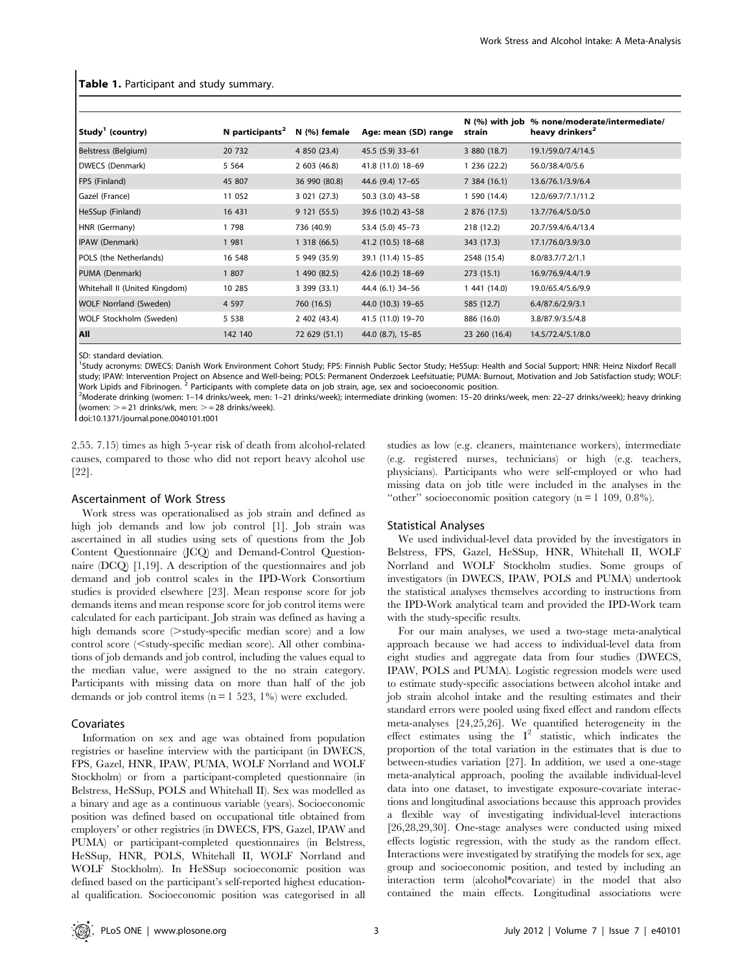| Study' (country)              | N participants <sup>2</sup> | N (%) female  | Age: mean (SD) range | strain        | N (%) with job % none/moderate/intermediate/<br>heavy drinkers <sup>2</sup> |
|-------------------------------|-----------------------------|---------------|----------------------|---------------|-----------------------------------------------------------------------------|
| Belstress (Belgium)           | 20 732                      | 4 850 (23.4)  | 45.5 (5.9) 33-61     | 3 880 (18.7)  | 19.1/59.0/7.4/14.5                                                          |
| DWECS (Denmark)               | 5 5 6 4                     | 2603(46.8)    | 41.8 (11.0) 18-69    | 1 236 (22.2)  | 56.0/38.4/0/5.6                                                             |
| <b>FPS (Finland)</b>          | 45 807                      | 36 990 (80.8) | 44.6 (9.4) 17-65     | 7 384 (16.1)  | 13.6/76.1/3.9/6.4                                                           |
| Gazel (France)                | 11 052                      | 3 021 (27.3)  | 50.3 (3.0) 43-58     | 1 590 (14.4)  | 12.0/69.7/7.1/11.2                                                          |
| HeSSup (Finland)              | 16 431                      | 9 121 (55.5)  | 39.6 (10.2) 43-58    | 2 876 (17.5)  | 13.7/76.4/5.0/5.0                                                           |
| HNR (Germany)                 | 1798                        | 736 (40.9)    | 53.4 (5.0) 45-73     | 218 (12.2)    | 20.7/59.4/6.4/13.4                                                          |
| IPAW (Denmark)                | 1 981                       | 1318(66.5)    | 41.2 (10.5) 18-68    | 343 (17.3)    | 17.1/76.0/3.9/3.0                                                           |
| POLS (the Netherlands)        | 16 548                      | 5 949 (35.9)  | 39.1 (11.4) 15-85    | 2548 (15.4)   | 8.0/83.7/7.2/1.1                                                            |
| PUMA (Denmark)                | 1 807                       | 1 490 (82.5)  | 42.6 (10.2) 18-69    | 273(15.1)     | 16.9/76.9/4.4/1.9                                                           |
| Whitehall II (United Kingdom) | 10 285                      | 3 399 (33.1)  | 44.4 (6.1) 34-56     | 1 441 (14.0)  | 19.0/65.4/5.6/9.9                                                           |
| <b>WOLF Norrland (Sweden)</b> | 4 5 9 7                     | 760 (16.5)    | 44.0 (10.3) 19-65    | 585 (12.7)    | 6.4/87.6/2.9/3.1                                                            |
| WOLF Stockholm (Sweden)       | 5 5 3 8                     | 2 402 (43.4)  | 41.5 (11.0) 19-70    | 886 (16.0)    | 3.8/87.9/3.5/4.8                                                            |
| All                           | 142 140                     | 72 629 (51.1) | 44.0 (8.7), 15-85    | 23 260 (16.4) | 14.5/72.4/5.1/8.0                                                           |

Table 1. Participant and study summary.

SD: standard deviation.

<sup>1</sup>Study acronyms: DWECS: Danish Work Environment Cohort Study; FPS: Finnish Public Sector Study; HeSSup: Health and Social Support; HNR: Heinz Nixdorf Recall study; IPAW: Intervention Project on Absence and Well-being; POLS: Permanent Onderzoek Leefsituatie; PUMA: Burnout, Motivation and Job Satisfaction study; WOLF: Work Lipids and Fibrinogen. <sup>2</sup> Participants with complete data on job strain, age, sex and socioeconomic position.

Moderate drinking (women: 1–14 drinks/week, men: 1–21 drinks/week); intermediate drinking (women: 15–20 drinks/week, men: 22–27 drinks/week); heavy drinking (women:  $> = 21$  drinks/wk, men:  $> = 28$  drinks/week).

doi:10.1371/journal.pone.0040101.t001

2.55. 7.15) times as high 5-year risk of death from alcohol-related causes, compared to those who did not report heavy alcohol use [22].

#### Ascertainment of Work Stress

Work stress was operationalised as job strain and defined as high job demands and low job control [1]. Job strain was ascertained in all studies using sets of questions from the Job Content Questionnaire (JCQ) and Demand-Control Questionnaire (DCQ) [1,19]. A description of the questionnaires and job demand and job control scales in the IPD-Work Consortium studies is provided elsewhere [23]. Mean response score for job demands items and mean response score for job control items were calculated for each participant. Job strain was defined as having a high demands score  $($ >study-specific median score) and a low  $control score (\leq study-specific median score)$ . All other combinations of job demands and job control, including the values equal to the median value, were assigned to the no strain category. Participants with missing data on more than half of the job demands or job control items  $(n = 1 523, 1%)$  were excluded.

#### Covariates

Information on sex and age was obtained from population registries or baseline interview with the participant (in DWECS, FPS, Gazel, HNR, IPAW, PUMA, WOLF Norrland and WOLF Stockholm) or from a participant-completed questionnaire (in Belstress, HeSSup, POLS and Whitehall II). Sex was modelled as a binary and age as a continuous variable (years). Socioeconomic position was defined based on occupational title obtained from employers' or other registries (in DWECS, FPS, Gazel, IPAW and PUMA) or participant-completed questionnaires (in Belstress, HeSSup, HNR, POLS, Whitehall II, WOLF Norrland and WOLF Stockholm). In HeSSup socioeconomic position was defined based on the participant's self-reported highest educational qualification. Socioeconomic position was categorised in all (e.g. registered nurses, technicians) or high (e.g. teachers, physicians). Participants who were self-employed or who had missing data on job title were included in the analyses in the "other" socioeconomic position category ( $n = 1$  109, 0.8%).

studies as low (e.g. cleaners, maintenance workers), intermediate

#### Statistical Analyses

We used individual-level data provided by the investigators in Belstress, FPS, Gazel, HeSSup, HNR, Whitehall II, WOLF Norrland and WOLF Stockholm studies. Some groups of investigators (in DWECS, IPAW, POLS and PUMA) undertook the statistical analyses themselves according to instructions from the IPD-Work analytical team and provided the IPD-Work team with the study-specific results.

For our main analyses, we used a two-stage meta-analytical approach because we had access to individual-level data from eight studies and aggregate data from four studies (DWECS, IPAW, POLS and PUMA). Logistic regression models were used to estimate study-specific associations between alcohol intake and job strain alcohol intake and the resulting estimates and their standard errors were pooled using fixed effect and random effects meta-analyses [24,25,26]. We quantified heterogeneity in the effect estimates using the  $I^2$  statistic, which indicates the proportion of the total variation in the estimates that is due to between-studies variation [27]. In addition, we used a one-stage meta-analytical approach, pooling the available individual-level data into one dataset, to investigate exposure-covariate interactions and longitudinal associations because this approach provides a flexible way of investigating individual-level interactions [26,28,29,30]. One-stage analyses were conducted using mixed effects logistic regression, with the study as the random effect. Interactions were investigated by stratifying the models for sex, age group and socioeconomic position, and tested by including an interaction term (alcohol\*covariate) in the model that also contained the main effects. Longitudinal associations were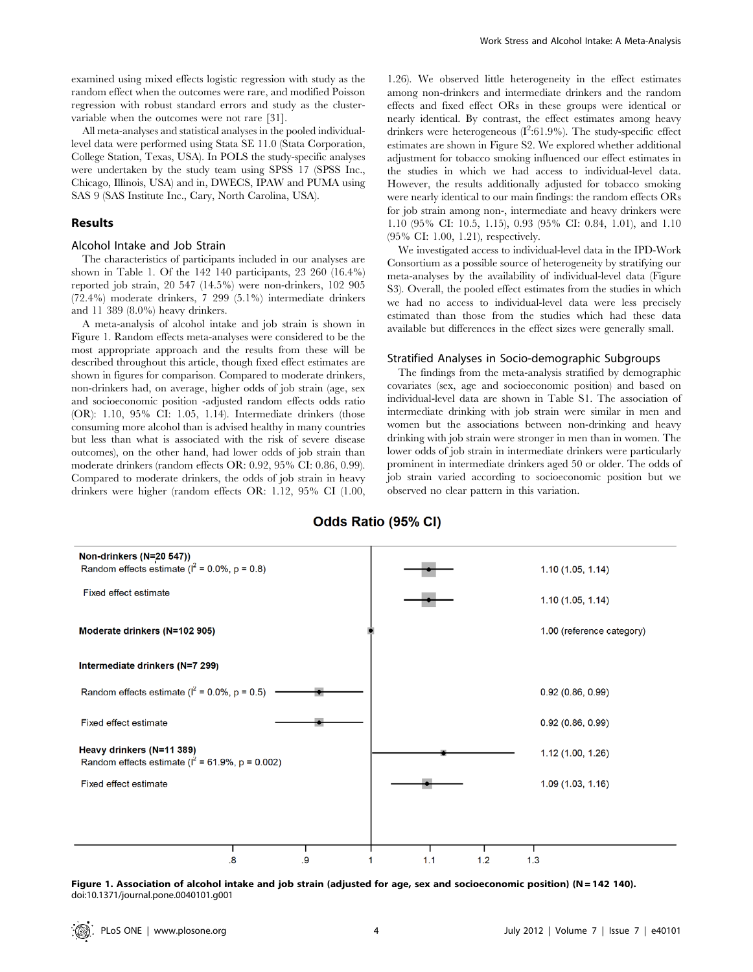examined using mixed effects logistic regression with study as the random effect when the outcomes were rare, and modified Poisson regression with robust standard errors and study as the clustervariable when the outcomes were not rare [31].

All meta-analyses and statistical analyses in the pooled individuallevel data were performed using Stata SE 11.0 (Stata Corporation, College Station, Texas, USA). In POLS the study-specific analyses were undertaken by the study team using SPSS 17 (SPSS Inc., Chicago, Illinois, USA) and in, DWECS, IPAW and PUMA using SAS 9 (SAS Institute Inc., Cary, North Carolina, USA).

#### Results

# Alcohol Intake and Job Strain

The characteristics of participants included in our analyses are shown in Table 1. Of the 142 140 participants, 23 260 (16.4%) reported job strain, 20 547 (14.5%) were non-drinkers, 102 905 (72.4%) moderate drinkers, 7 299 (5.1%) intermediate drinkers and 11 389 (8.0%) heavy drinkers.

A meta-analysis of alcohol intake and job strain is shown in Figure 1. Random effects meta-analyses were considered to be the most appropriate approach and the results from these will be described throughout this article, though fixed effect estimates are shown in figures for comparison. Compared to moderate drinkers, non-drinkers had, on average, higher odds of job strain (age, sex and socioeconomic position -adjusted random effects odds ratio (OR): 1.10, 95% CI: 1.05, 1.14). Intermediate drinkers (those consuming more alcohol than is advised healthy in many countries but less than what is associated with the risk of severe disease outcomes), on the other hand, had lower odds of job strain than moderate drinkers (random effects OR: 0.92, 95% CI: 0.86, 0.99). Compared to moderate drinkers, the odds of job strain in heavy drinkers were higher (random effects OR: 1.12, 95% CI (1.00,

1.26). We observed little heterogeneity in the effect estimates among non-drinkers and intermediate drinkers and the random effects and fixed effect ORs in these groups were identical or nearly identical. By contrast, the effect estimates among heavy drinkers were heterogeneous  $(I^2:61.9\%)$ . The study-specific effect estimates are shown in Figure S2. We explored whether additional adjustment for tobacco smoking influenced our effect estimates in the studies in which we had access to individual-level data. However, the results additionally adjusted for tobacco smoking were nearly identical to our main findings: the random effects ORs for job strain among non-, intermediate and heavy drinkers were 1.10 (95% CI: 10.5, 1.15), 0.93 (95% CI: 0.84, 1.01), and 1.10 (95% CI: 1.00, 1.21), respectively.

We investigated access to individual-level data in the IPD-Work Consortium as a possible source of heterogeneity by stratifying our meta-analyses by the availability of individual-level data (Figure S3). Overall, the pooled effect estimates from the studies in which we had no access to individual-level data were less precisely estimated than those from the studies which had these data available but differences in the effect sizes were generally small.

#### Stratified Analyses in Socio-demographic Subgroups

The findings from the meta-analysis stratified by demographic covariates (sex, age and socioeconomic position) and based on individual-level data are shown in Table S1. The association of intermediate drinking with job strain were similar in men and women but the associations between non-drinking and heavy drinking with job strain were stronger in men than in women. The lower odds of job strain in intermediate drinkers were particularly prominent in intermediate drinkers aged 50 or older. The odds of job strain varied according to socioeconomic position but we observed no clear pattern in this variation.



Odds Ratio (95% CI)

Figure 1. Association of alcohol intake and job strain (adjusted for age, sex and socioeconomic position) (N = 142 140). doi:10.1371/journal.pone.0040101.g001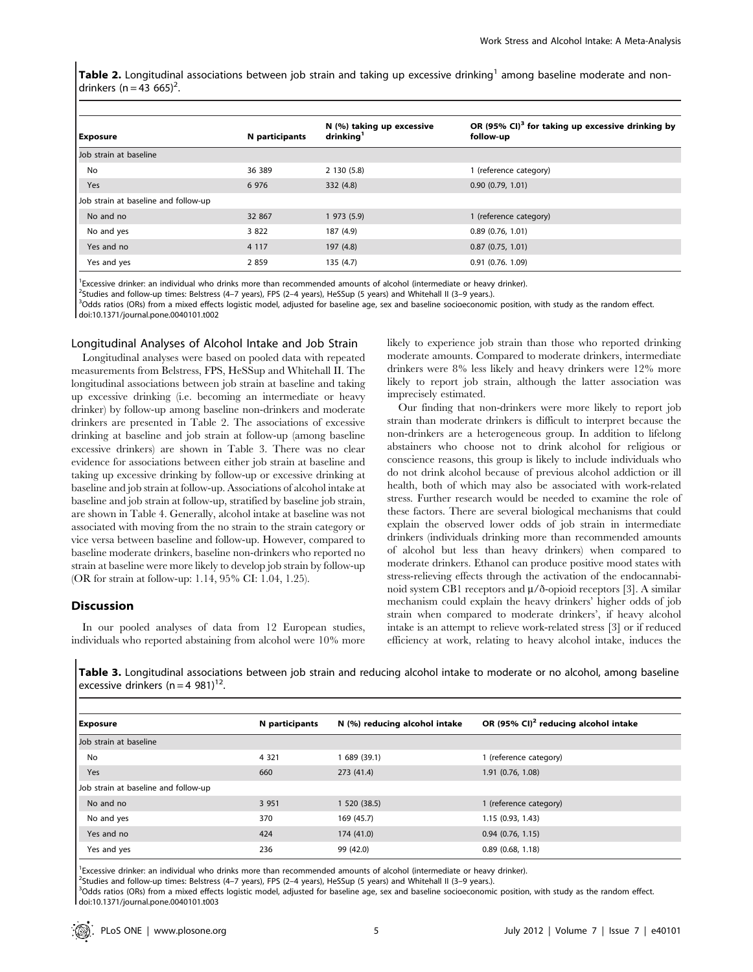Table 2. Longitudinal associations between job strain and taking up excessive drinking<sup>1</sup> among baseline moderate and nondrinkers (n = 43 665)<sup>2</sup>.

| <b>Exposure</b>                      | N participants | N (%) taking up excessive<br>drinkina <sup>1</sup> | OR (95% CI) <sup>3</sup> for taking up excessive drinking by<br>follow-up |
|--------------------------------------|----------------|----------------------------------------------------|---------------------------------------------------------------------------|
| Job strain at baseline               |                |                                                    |                                                                           |
| No                                   | 36 389         | 2 130 (5.8)                                        | 1 (reference category)                                                    |
| <b>Yes</b>                           | 6 9 7 6        | 332(4.8)                                           | 0.90(0.79, 1.01)                                                          |
| Job strain at baseline and follow-up |                |                                                    |                                                                           |
| No and no                            | 32 867         | 1973(5.9)                                          | 1 (reference category)                                                    |
| No and yes                           | 3 8 2 2        | 187 (4.9)                                          | 0.89(0.76, 1.01)                                                          |
| Yes and no                           | 4 1 1 7        | 197 (4.8)                                          | 0.87(0.75, 1.01)                                                          |
| Yes and yes                          | 2 8 5 9        | 135(4.7)                                           | $0.91$ (0.76, 1.09)                                                       |

<sup>1</sup> Excessive drinker: an individual who drinks more than recommended amounts of alcohol (intermediate or heavy drinker).

<sup>2</sup>Studies and follow-up times: Belstress (4–7 years), FPS (2–4 years), HeSSup (5 years) and Whitehall II (3–9 years.).

<sup>3</sup>Odds ratios (ORs) from a mixed effects logistic model, adjusted for baseline age, sex and baseline socioeconomic position, with study as the random effect. doi:10.1371/journal.pone.0040101.t002

#### Longitudinal Analyses of Alcohol Intake and Job Strain

Longitudinal analyses were based on pooled data with repeated measurements from Belstress, FPS, HeSSup and Whitehall II. The longitudinal associations between job strain at baseline and taking up excessive drinking (i.e. becoming an intermediate or heavy drinker) by follow-up among baseline non-drinkers and moderate drinkers are presented in Table 2. The associations of excessive drinking at baseline and job strain at follow-up (among baseline excessive drinkers) are shown in Table 3. There was no clear evidence for associations between either job strain at baseline and taking up excessive drinking by follow-up or excessive drinking at baseline and job strain at follow-up. Associations of alcohol intake at baseline and job strain at follow-up, stratified by baseline job strain, are shown in Table 4. Generally, alcohol intake at baseline was not associated with moving from the no strain to the strain category or vice versa between baseline and follow-up. However, compared to baseline moderate drinkers, baseline non-drinkers who reported no strain at baseline were more likely to develop job strain by follow-up (OR for strain at follow-up: 1.14, 95% CI: 1.04, 1.25).

# Discussion

In our pooled analyses of data from 12 European studies, individuals who reported abstaining from alcohol were 10% more likely to experience job strain than those who reported drinking moderate amounts. Compared to moderate drinkers, intermediate drinkers were 8% less likely and heavy drinkers were 12% more likely to report job strain, although the latter association was imprecisely estimated.

Our finding that non-drinkers were more likely to report job strain than moderate drinkers is difficult to interpret because the non-drinkers are a heterogeneous group. In addition to lifelong abstainers who choose not to drink alcohol for religious or conscience reasons, this group is likely to include individuals who do not drink alcohol because of previous alcohol addiction or ill health, both of which may also be associated with work-related stress. Further research would be needed to examine the role of these factors. There are several biological mechanisms that could explain the observed lower odds of job strain in intermediate drinkers (individuals drinking more than recommended amounts of alcohol but less than heavy drinkers) when compared to moderate drinkers. Ethanol can produce positive mood states with stress-relieving effects through the activation of the endocannabinoid system CB1 receptors and  $\mu$ /ð-opioid receptors [3]. A similar mechanism could explain the heavy drinkers' higher odds of job strain when compared to moderate drinkers', if heavy alcohol intake is an attempt to relieve work-related stress [3] or if reduced efficiency at work, relating to heavy alcohol intake, induces the

Table 3. Longitudinal associations between job strain and reducing alcohol intake to moderate or no alcohol, among baseline excessive drinkers  $(n = 4 981)^{12}$ .

| <b>Exposure</b>                      | N participants | N (%) reducing alcohol intake | OR (95% CI) <sup>2</sup> reducing alcohol intake |
|--------------------------------------|----------------|-------------------------------|--------------------------------------------------|
| Job strain at baseline               |                |                               |                                                  |
| No                                   | 4 3 2 1        | 689 (39.1)                    | 1 (reference category)                           |
| Yes                                  | 660            | 273 (41.4)                    | 1.91 (0.76, 1.08)                                |
| Job strain at baseline and follow-up |                |                               |                                                  |
| No and no                            | 3 9 5 1        | 1 520 (38.5)                  | 1 (reference category)                           |
| No and yes                           | 370            | 169 (45.7)                    | 1.15(0.93, 1.43)                                 |
| Yes and no                           | 424            | 174 (41.0)                    | $0.94$ (0.76, 1.15)                              |
| Yes and yes                          | 236            | 99 (42.0)                     | $0.89$ (0.68, 1.18)                              |

<sup>1</sup> Excessive drinker: an individual who drinks more than recommended amounts of alcohol (intermediate or heavy drinker).

<sup>2</sup>Studies and follow-up times: Belstress (4–7 years), FPS (2–4 years), HeSSup (5 years) and Whitehall II (3–9 years.).

<sup>3</sup>Odds ratios (ORs) from a mixed effects logistic model, adjusted for baseline age, sex and baseline socioeconomic position, with study as the random effect. doi:10.1371/journal.pone.0040101.t003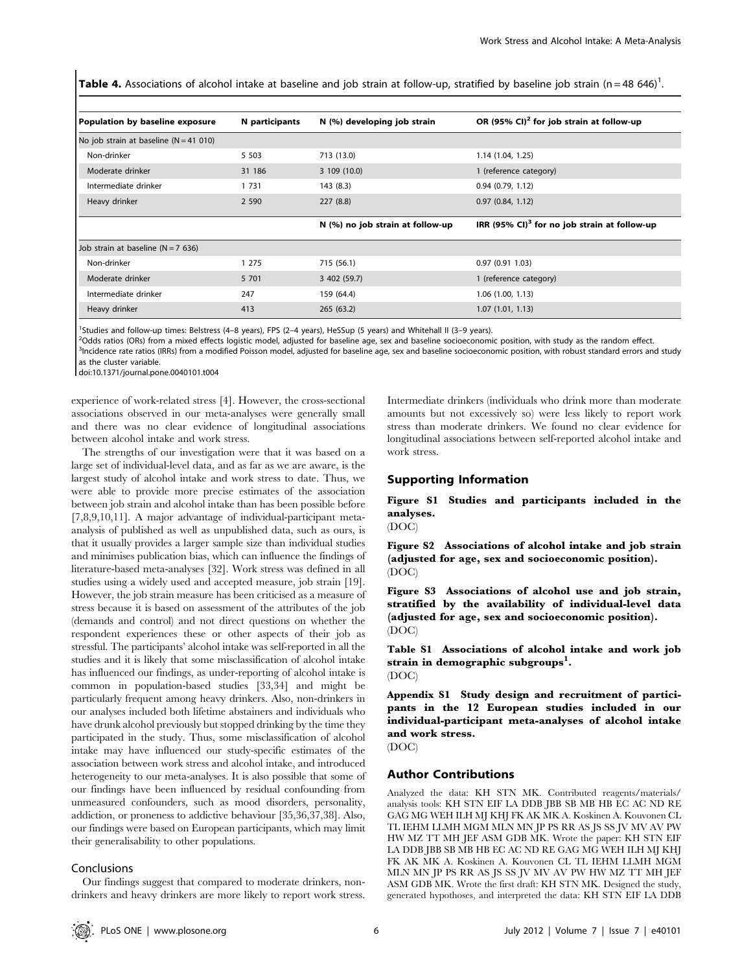Table 4. Associations of alcohol intake at baseline and job strain at follow-up, stratified by baseline job strain (n = 48 646)<sup>1</sup>.

| Population by baseline exposure          | N participants | N (%) developing job strain      | OR (95% CI) <sup>2</sup> for job strain at follow-up     |
|------------------------------------------|----------------|----------------------------------|----------------------------------------------------------|
| No job strain at baseline $(N = 41 010)$ |                |                                  |                                                          |
| Non-drinker                              | 5 5 0 3        | 713 (13.0)                       | 1.14 (1.04, 1.25)                                        |
| Moderate drinker                         | 31 186         | 3 109 (10.0)                     | 1 (reference category)                                   |
| Intermediate drinker                     | 1 7 3 1        | 143 (8.3)                        | 0.94(0.79, 1.12)                                         |
| Heavy drinker                            | 2 5 9 0        | 227(8.8)                         | 0.97(0.84, 1.12)                                         |
|                                          |                | N (%) no job strain at follow-up | IRR (95% CI) <sup>3</sup> for no job strain at follow-up |
| Job strain at baseline ( $N = 7$ 636)    |                |                                  |                                                          |
| Non-drinker                              | 1 2 7 5        | 715 (56.1)                       | 0.97(0.911.03)                                           |
| Moderate drinker                         | 5 701          | 3 402 (59.7)                     | 1 (reference category)                                   |
| Intermediate drinker                     | 247            | 159 (64.4)                       | 1.06 (1.00, 1.13)                                        |
| Heavy drinker                            | 413            | 265(63.2)                        | 1.07(1.01, 1.13)                                         |

<sup>1</sup>Studies and follow-up times: Belstress (4-8 years), FPS (2-4 years), HeSSup (5 years) and Whitehall II (3-9 years).

<sup>2</sup>Odds ratios (ORs) from a mixed effects logistic model, adjusted for baseline age, sex and baseline socioeconomic position, with study as the random effect.<br><sup>3</sup>Incidence rate ratios (IPPs) from a modified Poisson model, <sup>3</sup>Incidence rate ratios (IRRs) from a modified Poisson model, adjusted for baseline age, sex and baseline socioeconomic position, with robust standard errors and study as the cluster variable.

doi:10.1371/journal.pone.0040101.t004

experience of work-related stress [4]. However, the cross-sectional associations observed in our meta-analyses were generally small and there was no clear evidence of longitudinal associations between alcohol intake and work stress.

The strengths of our investigation were that it was based on a large set of individual-level data, and as far as we are aware, is the largest study of alcohol intake and work stress to date. Thus, we were able to provide more precise estimates of the association between job strain and alcohol intake than has been possible before [7,8,9,10,11]. A major advantage of individual-participant metaanalysis of published as well as unpublished data, such as ours, is that it usually provides a larger sample size than individual studies and minimises publication bias, which can influence the findings of literature-based meta-analyses [32]. Work stress was defined in all studies using a widely used and accepted measure, job strain [19]. However, the job strain measure has been criticised as a measure of stress because it is based on assessment of the attributes of the job (demands and control) and not direct questions on whether the respondent experiences these or other aspects of their job as stressful. The participants' alcohol intake was self-reported in all the studies and it is likely that some misclassification of alcohol intake has influenced our findings, as under-reporting of alcohol intake is common in population-based studies [33,34] and might be particularly frequent among heavy drinkers. Also, non-drinkers in our analyses included both lifetime abstainers and individuals who have drunk alcohol previously but stopped drinking by the time they participated in the study. Thus, some misclassification of alcohol intake may have influenced our study-specific estimates of the association between work stress and alcohol intake, and introduced heterogeneity to our meta-analyses. It is also possible that some of our findings have been influenced by residual confounding from unmeasured confounders, such as mood disorders, personality, addiction, or proneness to addictive behaviour [35,36,37,38]. Also, our findings were based on European participants, which may limit their generalisability to other populations.

#### Conclusions

Our findings suggest that compared to moderate drinkers, nondrinkers and heavy drinkers are more likely to report work stress.

Intermediate drinkers (individuals who drink more than moderate amounts but not excessively so) were less likely to report work stress than moderate drinkers. We found no clear evidence for longitudinal associations between self-reported alcohol intake and work stress.

### Supporting Information

Figure S1 Studies and participants included in the analyses.

(DOC)

Figure S2 Associations of alcohol intake and job strain (adjusted for age, sex and socioeconomic position). (DOC)

Figure S3 Associations of alcohol use and job strain, stratified by the availability of individual-level data (adjusted for age, sex and socioeconomic position). (DOC)

Table S1 Associations of alcohol intake and work job strain in demographic subgroups $^{\rm l}$ . (DOC)

Appendix S1 Study design and recruitment of participants in the 12 European studies included in our individual-participant meta-analyses of alcohol intake and work stress.

(DOC)

#### Author Contributions

Analyzed the data: KH STN MK. Contributed reagents/materials/ analysis tools: KH STN EIF LA DDB JBB SB MB HB EC AC ND RE GAG MG WEH ILH MJ KHJ FK AK MK A. Koskinen A. Kouvonen CL TL IEHM LLMH MGM MLN MN JP PS RR AS JS SS JV MV AV PW HW MZ TT MH JEF ASM GDB MK. Wrote the paper: KH STN EIF LA DDB JBB SB MB HB EC AC ND RE GAG MG WEH ILH MJ KHJ FK AK MK A. Koskinen A. Kouvonen CL TL IEHM LLMH MGM MLN MN JP PS RR AS JS SS JV MV AV PW HW MZ TT MH JEF ASM GDB MK. Wrote the first draft: KH STN MK. Designed the study, generated hypothoses, and interpreted the data: KH STN EIF LA DDB